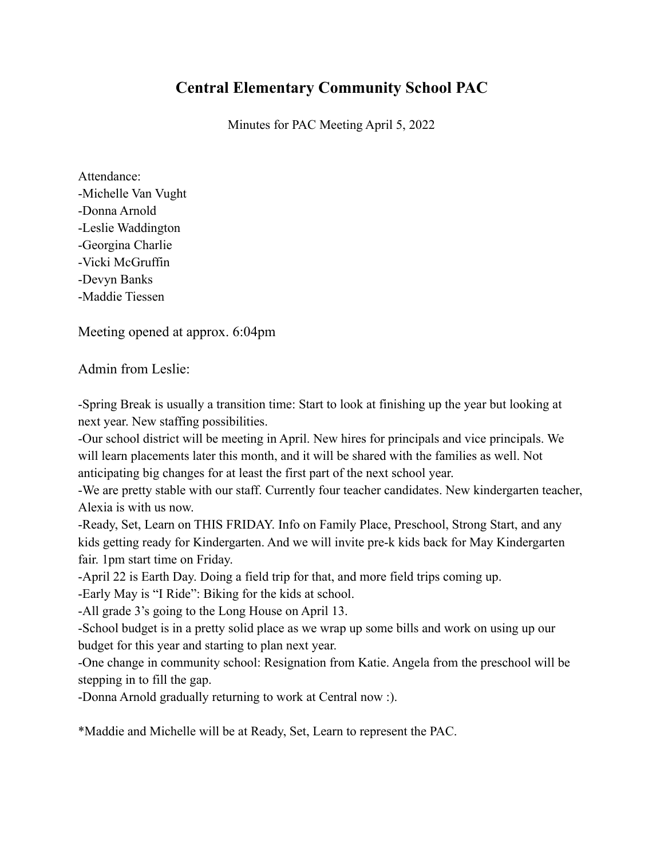## **Central Elementary Community School PAC**

Minutes for PAC Meeting April 5, 2022

Attendance: -Michelle Van Vught -Donna Arnold -Leslie Waddington -Georgina Charlie -Vicki McGruffin -Devyn Banks -Maddie Tiessen

Meeting opened at approx. 6:04pm

Admin from Leslie:

-Spring Break is usually a transition time: Start to look at finishing up the year but looking at next year. New staffing possibilities.

-Our school district will be meeting in April. New hires for principals and vice principals. We will learn placements later this month, and it will be shared with the families as well. Not anticipating big changes for at least the first part of the next school year.

-We are pretty stable with our staff. Currently four teacher candidates. New kindergarten teacher, Alexia is with us now.

-Ready, Set, Learn on THIS FRIDAY. Info on Family Place, Preschool, Strong Start, and any kids getting ready for Kindergarten. And we will invite pre-k kids back for May Kindergarten fair. 1pm start time on Friday.

-April 22 is Earth Day. Doing a field trip for that, and more field trips coming up.

-Early May is "I Ride": Biking for the kids at school.

-All grade 3's going to the Long House on April 13.

-School budget is in a pretty solid place as we wrap up some bills and work on using up our budget for this year and starting to plan next year.

-One change in community school: Resignation from Katie. Angela from the preschool will be stepping in to fill the gap.

-Donna Arnold gradually returning to work at Central now :).

\*Maddie and Michelle will be at Ready, Set, Learn to represent the PAC.